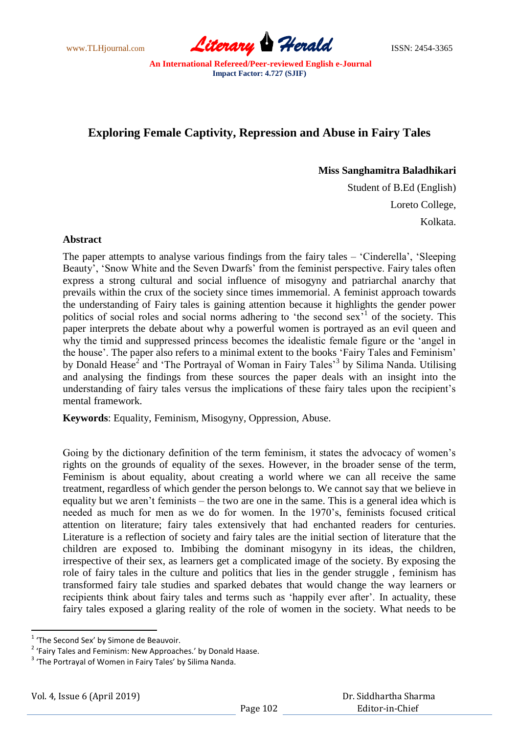www.TLHjournal.com **Literary Herald Herald** ISSN: 2454-3365

## **Exploring Female Captivity, Repression and Abuse in Fairy Tales**

**Miss Sanghamitra Baladhikari**

Student of B.Ed (English) Loreto College, Kolkata.

## **Abstract**

The paper attempts to analyse various findings from the fairy tales – 'Cinderella', 'Sleeping Beauty', 'Snow White and the Seven Dwarfs' from the feminist perspective. Fairy tales often express a strong cultural and social influence of misogyny and patriarchal anarchy that prevails within the crux of the society since times immemorial. A feminist approach towards the understanding of Fairy tales is gaining attention because it highlights the gender power politics of social roles and social norms adhering to 'the second sex<sup>51</sup> of the society. This paper interprets the debate about why a powerful women is portrayed as an evil queen and why the timid and suppressed princess becomes the idealistic female figure or the 'angel in the house'. The paper also refers to a minimal extent to the books 'Fairy Tales and Feminism' by Donald Hease<sup>2</sup> and 'The Portrayal of Woman in Fairy Tales<sup>3</sup> by Silima Nanda. Utilising and analysing the findings from these sources the paper deals with an insight into the understanding of fairy tales versus the implications of these fairy tales upon the recipient's mental framework.

**Keywords**: Equality, Feminism, Misogyny, Oppression, Abuse.

Going by the dictionary definition of the term feminism, it states the advocacy of women's rights on the grounds of equality of the sexes. However, in the broader sense of the term, Feminism is about equality, about creating a world where we can all receive the same treatment, regardless of which gender the person belongs to. We cannot say that we believe in equality but we aren't feminists – the two are one in the same. This is a general idea which is needed as much for men as we do for women. In the 1970's, feminists focused critical attention on literature; fairy tales extensively that had enchanted readers for centuries. Literature is a reflection of society and fairy tales are the initial section of literature that the children are exposed to. Imbibing the dominant misogyny in its ideas, the children, irrespective of their sex, as learners get a complicated image of the society. By exposing the role of fairy tales in the culture and politics that lies in the gender struggle , feminism has transformed fairy tale studies and sparked debates that would change the way learners or recipients think about fairy tales and terms such as 'happily ever after'. In actuality, these fairy tales exposed a glaring reality of the role of women in the society. What needs to be

**<sup>.</sup>** <sup>1</sup> 'The Second Sex' by Simone de Beauvoir.

<sup>&</sup>lt;sup>2</sup> 'Fairy Tales and Feminism: New Approaches.' by Donald Haase.

<sup>&</sup>lt;sup>3</sup> 'The Portrayal of Women in Fairy Tales' by Silima Nanda.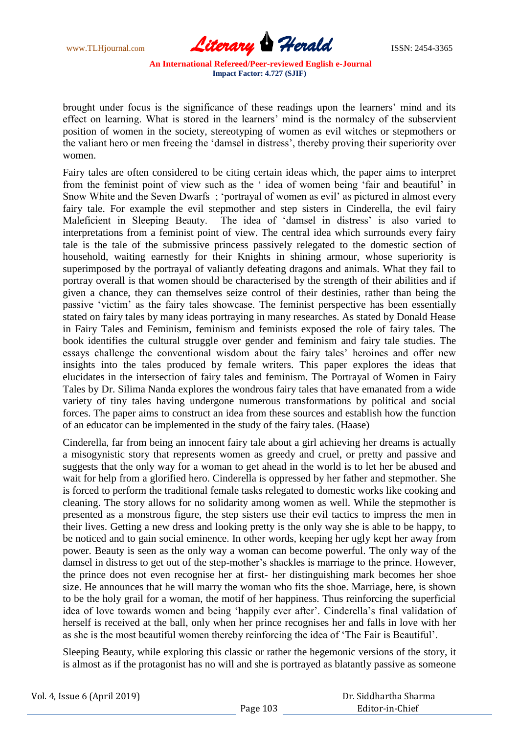

brought under focus is the significance of these readings upon the learners' mind and its effect on learning. What is stored in the learners' mind is the normalcy of the subservient position of women in the society, stereotyping of women as evil witches or stepmothers or the valiant hero or men freeing the 'damsel in distress', thereby proving their superiority over women.

Fairy tales are often considered to be citing certain ideas which, the paper aims to interpret from the feminist point of view such as the ' idea of women being 'fair and beautiful' in Snow White and the Seven Dwarfs ; 'portrayal of women as evil' as pictured in almost every fairy tale. For example the evil stepmother and step sisters in Cinderella, the evil fairy Maleficient in Sleeping Beauty. The idea of 'damsel in distress' is also varied to interpretations from a feminist point of view. The central idea which surrounds every fairy tale is the tale of the submissive princess passively relegated to the domestic section of household, waiting earnestly for their Knights in shining armour, whose superiority is superimposed by the portrayal of valiantly defeating dragons and animals. What they fail to portray overall is that women should be characterised by the strength of their abilities and if given a chance, they can themselves seize control of their destinies, rather than being the passive 'victim' as the fairy tales showcase. The feminist perspective has been essentially stated on fairy tales by many ideas portraying in many researches. As stated by Donald Hease in Fairy Tales and Feminism, feminism and feminists exposed the role of fairy tales. The book identifies the cultural struggle over gender and feminism and fairy tale studies. The essays challenge the conventional wisdom about the fairy tales' heroines and offer new insights into the tales produced by female writers. This paper explores the ideas that elucidates in the intersection of fairy tales and feminism. The Portrayal of Women in Fairy Tales by Dr. Silima Nanda explores the wondrous fairy tales that have emanated from a wide variety of tiny tales having undergone numerous transformations by political and social forces. The paper aims to construct an idea from these sources and establish how the function of an educator can be implemented in the study of the fairy tales. (Haase)

Cinderella, far from being an innocent fairy tale about a girl achieving her dreams is actually a misogynistic story that represents women as greedy and cruel, or pretty and passive and suggests that the only way for a woman to get ahead in the world is to let her be abused and wait for help from a glorified hero. Cinderella is oppressed by her father and stepmother. She is forced to perform the traditional female tasks relegated to domestic works like cooking and cleaning. The story allows for no solidarity among women as well. While the stepmother is presented as a monstrous figure, the step sisters use their evil tactics to impress the men in their lives. Getting a new dress and looking pretty is the only way she is able to be happy, to be noticed and to gain social eminence. In other words, keeping her ugly kept her away from power. Beauty is seen as the only way a woman can become powerful. The only way of the damsel in distress to get out of the step-mother's shackles is marriage to the prince. However, the prince does not even recognise her at first- her distinguishing mark becomes her shoe size. He announces that he will marry the woman who fits the shoe. Marriage, here, is shown to be the holy grail for a woman, the motif of her happiness. Thus reinforcing the superficial idea of love towards women and being 'happily ever after'. Cinderella's final validation of herself is received at the ball, only when her prince recognises her and falls in love with her as she is the most beautiful women thereby reinforcing the idea of 'The Fair is Beautiful'.

Sleeping Beauty, while exploring this classic or rather the hegemonic versions of the story, it is almost as if the protagonist has no will and she is portrayed as blatantly passive as someone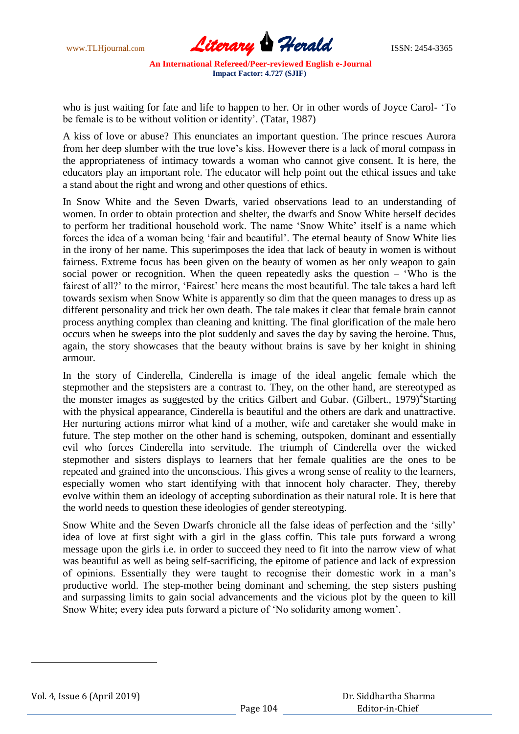

who is just waiting for fate and life to happen to her. Or in other words of Joyce Carol- 'To be female is to be without volition or identity'. (Tatar, 1987)

A kiss of love or abuse? This enunciates an important question. The prince rescues Aurora from her deep slumber with the true love's kiss. However there is a lack of moral compass in the appropriateness of intimacy towards a woman who cannot give consent. It is here, the educators play an important role. The educator will help point out the ethical issues and take a stand about the right and wrong and other questions of ethics.

In Snow White and the Seven Dwarfs, varied observations lead to an understanding of women. In order to obtain protection and shelter, the dwarfs and Snow White herself decides to perform her traditional household work. The name 'Snow White' itself is a name which forces the idea of a woman being 'fair and beautiful'. The eternal beauty of Snow White lies in the irony of her name. This superimposes the idea that lack of beauty in women is without fairness. Extreme focus has been given on the beauty of women as her only weapon to gain social power or recognition. When the queen repeatedly asks the question  $-$  'Who is the fairest of all?' to the mirror, 'Fairest' here means the most beautiful. The tale takes a hard left towards sexism when Snow White is apparently so dim that the queen manages to dress up as different personality and trick her own death. The tale makes it clear that female brain cannot process anything complex than cleaning and knitting. The final glorification of the male hero occurs when he sweeps into the plot suddenly and saves the day by saving the heroine. Thus, again, the story showcases that the beauty without brains is save by her knight in shining armour.

In the story of Cinderella, Cinderella is image of the ideal angelic female which the stepmother and the stepsisters are a contrast to. They, on the other hand, are stereotyped as the monster images as suggested by the critics Gilbert and Gubar. (Gilbert., 1979)<sup>4</sup>Starting with the physical appearance, Cinderella is beautiful and the others are dark and unattractive. Her nurturing actions mirror what kind of a mother, wife and caretaker she would make in future. The step mother on the other hand is scheming, outspoken, dominant and essentially evil who forces Cinderella into servitude. The triumph of Cinderella over the wicked stepmother and sisters displays to learners that her female qualities are the ones to be repeated and grained into the unconscious. This gives a wrong sense of reality to the learners, especially women who start identifying with that innocent holy character. They, thereby evolve within them an ideology of accepting subordination as their natural role. It is here that the world needs to question these ideologies of gender stereotyping.

Snow White and the Seven Dwarfs chronicle all the false ideas of perfection and the 'silly' idea of love at first sight with a girl in the glass coffin. This tale puts forward a wrong message upon the girls i.e. in order to succeed they need to fit into the narrow view of what was beautiful as well as being self-sacrificing, the epitome of patience and lack of expression of opinions. Essentially they were taught to recognise their domestic work in a man's productive world. The step-mother being dominant and scheming, the step sisters pushing and surpassing limits to gain social advancements and the vicious plot by the queen to kill Snow White; every idea puts forward a picture of 'No solidarity among women'.

1